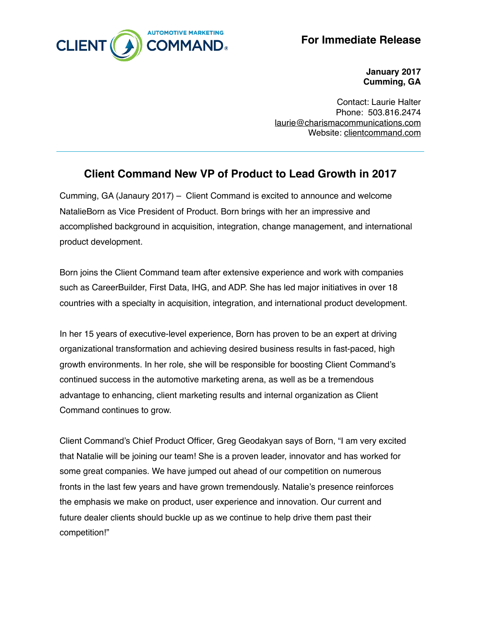

**For Immediate Release**

**January 2017 Cumming, GA**

Contact: Laurie Halter Phone: 503.816.2474 [laurie@charismacommunications.com](mailto:laurie@charismacommunications.com) Website: [clientcommand.com](http://clientcommand.com)

## **Client Command New VP of Product to Lead Growth in 2017**

Cumming, GA (Janaury 2017) – Client Command is excited to announce and welcome NatalieBorn as Vice President of Product. Born brings with her an impressive and accomplished background in acquisition, integration, change management, and international product development.

Born joins the Client Command team after extensive experience and work with companies such as CareerBuilder, First Data, IHG, and ADP. She has led major initiatives in over 18 countries with a specialty in acquisition, integration, and international product development.

In her 15 years of executive-level experience, Born has proven to be an expert at driving organizational transformation and achieving desired business results in fast-paced, high growth environments. In her role, she will be responsible for boosting Client Command's continued success in the automotive marketing arena, as well as be a tremendous advantage to enhancing, client marketing results and internal organization as Client Command continues to grow.

Client Command's Chief Product Officer, Greg Geodakyan says of Born, "I am very excited that Natalie will be joining our team! She is a proven leader, innovator and has worked for some great companies. We have jumped out ahead of our competition on numerous fronts in the last few years and have grown tremendously. Natalie's presence reinforces the emphasis we make on product, user experience and innovation. Our current and future dealer clients should buckle up as we continue to help drive them past their competition!"